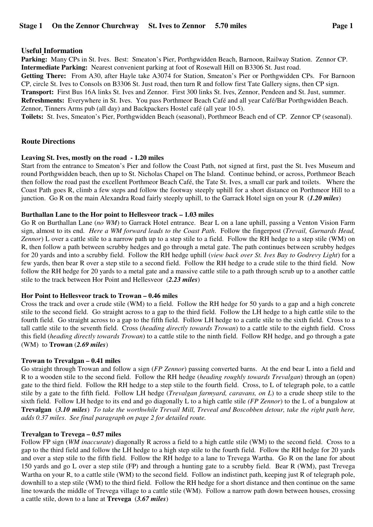## **Useful Information**

**Parking:** Many CPs in St. Ives. Best: Smeaton's Pier, Porthgwidden Beach, Barnoon, Railway Station. Zennor CP. **Intermediate Parking:** Nearest convenient parking at foot of Rosewall Hill on B3306 St. Just road.

**Getting There:** From A30, after Hayle take A3074 for Station, Smeaton's Pier or Porthgwidden CPs. For Barnoon CP, circle St. Ives to Consols on B3306 St. Just road, then turn R and follow first Tate Gallery signs, then CP sign. **Transport:** First Bus 16A links St. Ives and Zennor. First 300 links St. Ives, Zennor, Pendeen and St. Just, summer. **Refreshments:** Everywhere in St. Ives. You pass Porthmeor Beach Café and all year Café/Bar Porthgwidden Beach. Zennor, Tinners Arms pub (all day) and Backpackers Hostel café (all year 10-5).

**Toilets:** St. Ives, Smeaton's Pier, Porthgwidden Beach (seasonal), Porthmeor Beach end of CP. Zennor CP (seasonal).

### **Route Directions**

### **Leaving St. Ives, mostly on the road - 1.20 miles**

Start from the entrance to Smeaton's Pier and follow the Coast Path, not signed at first, past the St. Ives Museum and round Porthgwidden beach, then up to St. Nicholas Chapel on The Island. Continue behind, or across, Porthmeor Beach then follow the road past the excellent Porthmeor Beach Café, the Tate St. Ives, a small car park and toilets. Where the Coast Path goes R, climb a few steps and follow the footway steeply uphill for a short distance on Porthmeor Hill to a junction. Go R on the main Alexandra Road fairly steeply uphill, to the Garrack Hotel sign on your R (*1.20 miles*)

### **Burthallan Lane to the Hor point to Hellesveor track – 1.03 miles**

Go R on Burthallan Lane (*no WM*) to Garrack Hotel entrance. Bear L on a lane uphill, passing a Venton Vision Farm sign, almost to its end. *Here a WM forward leads to the Coast Path*. Follow the fingerpost (*Trevail, Gurnards Head, Zennor*) L over a cattle stile to a narrow path up to a step stile to a field. Follow the RH hedge to a step stile (WM) on R, then follow a path between scrubby hedges and go through a metal gate. The path continues between scrubby hedges for 20 yards and into a scrubby field. Follow the RH hedge uphill (*view back over St. Ives Bay to Godrevy Light*) for a few yards, then bear R over a step stile to a second field. Follow the RH hedge to a crude stile to the third field. Now follow the RH hedge for 20 yards to a metal gate and a massive cattle stile to a path through scrub up to a another cattle stile to the track between Hor Point and Hellesveor (*2.23 miles*)

### **Hor Point to Hellesveor track to Trowan – 0.46 miles**

Cross the track and over a crude stile (WM) to a field. Follow the RH hedge for 50 yards to a gap and a high concrete stile to the second field. Go straight across to a gap to the third field. Follow the LH hedge to a high cattle stile to the fourth field. Go straight across to a gap to the fifth field. Follow LH hedge to a cattle stile to the sixth field. Cross to a tall cattle stile to the seventh field. Cross (*heading directly towards Trowan*) to a cattle stile to the eighth field. Cross this field (*heading directly towards Trowan*) to a cattle stile to the ninth field. Follow RH hedge, and go through a gate (WM) to **Trowan** (*2.69 miles*)

### **Trowan to Trevalgan – 0.41 miles**

Go straight through Trowan and follow a sign (*FP Zennor*) passing converted barns. At the end bear L into a field and R to a wooden stile to the second field. Follow the RH hedge (*heading roughly towards Trevalgan*) through an (open) gate to the third field. Follow the RH hedge to a step stile to the fourth field. Cross, to L of telegraph pole, to a cattle stile by a gate to the fifth field. Follow LH hedge (*Trevalgan farmyard, caravans, on L*) to a crude sheep stile to the sixth field. Follow LH hedge to its end and go diagonally L to a high cattle stile *(FP Zennor*) to the L of a bungalow at **Trevalgan** (*3.10 miles*) *To take the worthwhile Trevail Mill, Treveal and Boscobben detour, take the right path here, adds 0.37 miles*. *See final paragraph on page 2 for detailed route.* 

### **Trevalgan to Trevega – 0.57 miles**

Follow FP sign (*WM inaccurate*) diagonally R across a field to a high cattle stile (WM) to the second field. Cross to a gap to the third field and follow the LH hedge to a high step stile to the fourth field. Follow the RH hedge for 20 yards and over a step stile to the fifth field. Follow the RH hedge to a lane to Trevega Wartha. Go R on the lane for about 150 yards and go L over a step stile (FP) and through a hunting gate to a scrubby field. Bear R (WM), past Trevega Wartha on your R, to a cattle stile (WM) to the second field. Follow an indistinct path, keeping just R of telegraph pole, downhill to a step stile (WM) to the third field. Follow the RH hedge for a short distance and then continue on the same line towards the middle of Trevega village to a cattle stile (WM). Follow a narrow path down between houses, crossing a cattle stile, down to a lane at **Trevega** (*3.67 miles*)